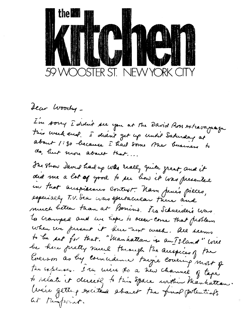

Jean Woody -I'm sorry I didn't see you at the David Aves extravaguage this week end. I didn't get up until Saturday at about 1:30 because I had some the business to do, but more about that... The show daved had up was really guite great, and it did me a lot of your to see how it was presented in that anspiseares Context. Nam penés pieces,<br>especially T.V. Sea was spectacular there and much better than at Bonins. The Schneeder's was to cranged and the hope to occa-come that problem when we present it here next week. All seems to be set for that. "Manhattan is an Island" will be here pretty much through the acespices of the Evenson as lug connudence "truje covering" most of tre expenser. I ru mire to a new channel of tape to relate it derectly to this Space within Manhattan. We're getting excited about the fund potentials at thispoont.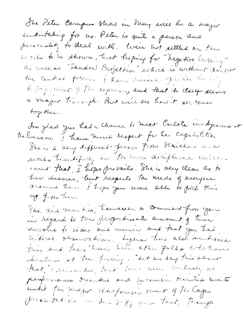The Peter Campus Show in May user be a major eindertaking for us. Peter is quite a person and personalet, to deal with. Were not settled on the lected to be shown, but hoping for "hegative Crissing" as well as "Shudow Projection" which is without doubt the central focuse. I have ruised Julian Factory to pay mount of the explose, and that in class seems a major trimph. But we'll see how it all comes together. I'm glad you had a Chance to meet Carlota in Apracuse at Melverson. I have much respect for ten capabilitier Their a very different ferson from Itaidhan and works transitively in the more diciplened environment that, I hope prevails. She is very clear as to her desires, luit respects the needs of everyone<br>around the. I hope you were the to pick this up from them. She did mention, housever, a comment from your in regard to the proportimate amount of time devoted to video and music, and that you trad. critical observations. Lydia has also mentioned this and there have been other falks, who have heaten of the feeling. "Let me say this about that, Exementer that there were betteredy has peuformance occurred and to music occurred année until the major videofrance serent of the lage Presentation on Dec 7-8; and That, Though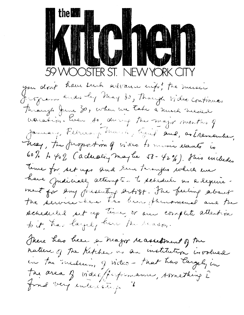## the **um** AM I 59 WOOSTER ST. NEW YORK CITY

you don't have such advance wife ! the music Jeogram Ends ley May 30, Though video continues Turangh June 30, when we take a much needed waration. Even so, during the major months of January, February, March, Cjuif aul, os Erementer, Theory, the furgest in of video to music elements is 60% to 402 (actually may be 58-42%). This includes Teme for set ups and Sun tissuppo which we have Judicially attempted to schedule as a leguire. ment for any juescuting artist. The feeling about the service-here the beau phenomenal and the schedeled tet up time, or am complete attention to it, has layely here the reason. There has been a major reassetment of the nature of the Ketchen as an institution involved

en tu medeum grides-that has tagely in The area of vides performance, sornething I find very enteresting &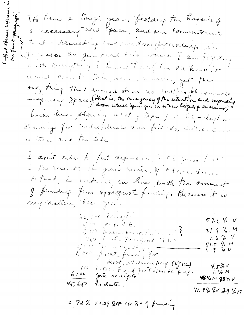The been a tough year, fielding the hassels of a necessary hew gace, and our commitments to it - resulting en souton proceding in Juneske as Jan read this which I am fighting with everything I there took ( live all knew it want come to this, same munere, yet, the only thing that would stave the anathin bluesmens de We've learn showing about of tope privately-drytime. Samong for Undividual and filends, Citre, and writers and the like. I don't like to feel deposition, but I gain that is the result. The grave gusta, of it lines down to that, is entained in line with the amount my nature, here gees: 36, Lon Fairm/1V  $57.6$  %  $V$ Sean Prof. Alter  $21.99.1$ 5,000 auto Fact And Carried  $1.6\%$  V Too well pointed tides  $\begin{array}{cc} 51.5 & 9.77 \\ -9 & 9.77 \end{array}$ Glove Wear Cycle Lage 1,000 presete funding for Robo, Whitman perf. (V)(Filed)  $4.5 - 26$  $750 -$ Orton Furt for Ensemble perf.  $1.9/0 M$  $6/50$ Jale receipts **临%川 73%V**  $407.600$  to date.  $71.92$  2V Jg 2M

I 72 % V+29 2NF 100 % - 1 funding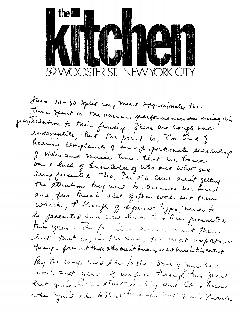

Juin 70-30 speit very much expressionates the time spent on the various performances une during this yearstelation to their fernding. These are rough and incomplete, luit tre point is, I'm tire of hearing complaints of our proportionate scheduling I video and music time that are based on a lach of tenandedge of who and what are the attention tag used to because we know and feel there is alot of other work out there which, I though of different type, needs to this year. The familiar homes aren't there, lust that is, in the end, the most important thang - present those who aren't known, or not lenow in this context. By the way, we'd like to show down of your hew work nort year- if we pues through this year leut puis liter start vertierp and let us know when you'd the to Show because next fear's Shedule